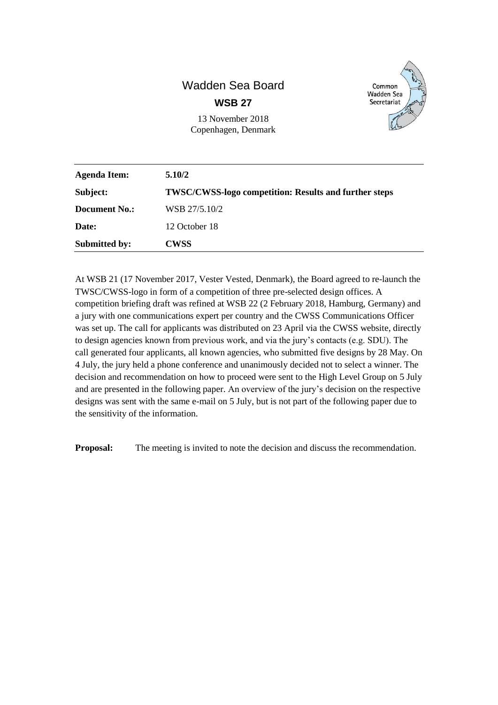## Wadden Sea Board **WSB 27**



| 13 November 2018    |  |
|---------------------|--|
| Copenhagen, Denmark |  |

| <b>Agenda Item:</b>  | 5.10/2                                                       |
|----------------------|--------------------------------------------------------------|
| Subject:             | <b>TWSC/CWSS-logo competition: Results and further steps</b> |
| Document No.:        | WSB 27/5.10/2                                                |
| Date:                | 12 October 18                                                |
| <b>Submitted by:</b> | <b>CWSS</b>                                                  |

At WSB 21 (17 November 2017, Vester Vested, Denmark), the Board agreed to re-launch the TWSC/CWSS-logo in form of a competition of three pre-selected design offices. A competition briefing draft was refined at WSB 22 (2 February 2018, Hamburg, Germany) and a jury with one communications expert per country and the CWSS Communications Officer was set up. The call for applicants was distributed on 23 April via the CWSS website, directly to design agencies known from previous work, and via the jury's contacts (e.g. SDU). The call generated four applicants, all known agencies, who submitted five designs by 28 May. On 4 July, the jury held a phone conference and unanimously decided not to select a winner. The decision and recommendation on how to proceed were sent to the High Level Group on 5 July and are presented in the following paper. An overview of the jury's decision on the respective designs was sent with the same e-mail on 5 July, but is not part of the following paper due to the sensitivity of the information.

**Proposal:** The meeting is invited to note the decision and discuss the recommendation.